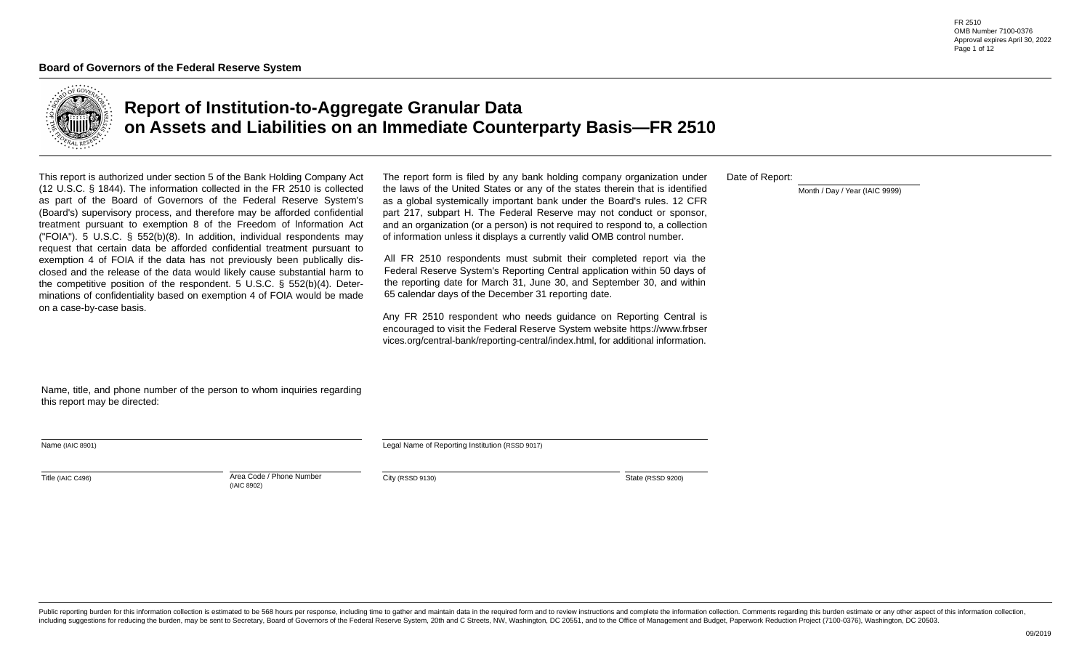FR 2510 OMB Number 7100-0376 Approval expires April 30, 2022 Page 1 of 12



# **Report of Institution-to-Aggregate Granular Data on Assets and Liabilities on an Immediate Counterparty Basis—FR 2510**

This report is authorized under section 5 of the Bank Holding Company Act (12 U.S.C. § 1844). The information collected in the FR 2510 is collected as part of the Board of Governors of the Federal Reserve System's (Board's) supervisory process, and therefore may be afforded confidential treatment pursuant to exemption 8 of the Freedom of lnformation Act ("FOIA"). 5 U.S.C. § 552(b)(8). In addition, individual respondents may request that certain data be afforded confidential treatment pursuant to exemption 4 of FOIA if the data has not previously been publically disclosed and the release of the data would likely cause substantial harm to the competitive position of the respondent. 5 U.S.C. § 552(b)(4). Determinations of confidentiality based on exemption 4 of FOIA would be made on a case-by-case basis.

The report form is filed by any bank holding company organization under the laws of the United States or any of the states therein that is identified as a global systemically important bank under the Board's rules. 12 CFR part 217, subpart H. The Federal Reserve may not conduct or sponsor, and an organization (or a person) is not required to respond to, a collection of information unless it displays a currently valid OMB control number.

All FR 2510 respondents must submit their completed report via the Federal Reserve System's Reporting Central application within 50 days of the reporting date for March 31, June 30, and September 30, and within 65 calendar days of the December 31 reporting date.

Any FR 2510 respondent who needs guidance on Reporting Central is encouraged to visit the Federal Reserve System website https://www.frbser vices.org/central-bank/reporting-central/index.html, for additional information.

Date of Report:

Month / Day / Year (IAIC 9999)

Name, title, and phone number of the person to whom inquiries regarding this report may be directed:

| Name (IAIC 8901) |  |  |
|------------------|--|--|
|------------------|--|--|

Legal Name of Reporting Institution (RSSD 9017)

Title (IAIC C496) **Area Code / Phone Number** Area Code / Phone Number (IAIC 8902)

City (RSSD 9130) State (RSSD 9200)

 $\overline{\phantom{a}}$ 

Public reporting burden for this information collection is estimated to be 568 hours per response, including time to gather and maintain data in the required form and to review instructions and complete the information col including suggestions for reducing the burden, may be sent to Secretary, Board of Governors of the Federal Reserve System, 20th and C Streets, NW, Washington, DC 20551, and to the Office of Management and Budget, Paperwork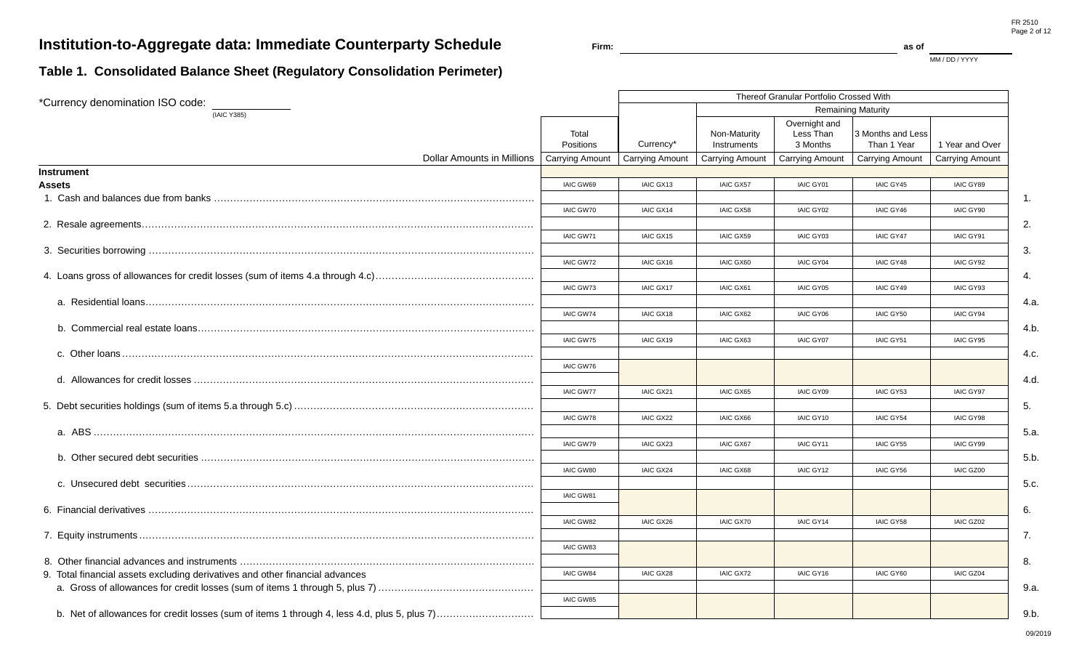# **Institution-to-Aggregate data: Immediate Counterparty Schedule**

MM / DD / YYYY

## **Table 1. Consolidated Balance Sheet (Regulatory Consolidation Perimeter)**

| *Currency denomination ISO code:                                             |                    |                        |                             | Thereof Granular Portfolio Crossed With |                                  |                        |
|------------------------------------------------------------------------------|--------------------|------------------------|-----------------------------|-----------------------------------------|----------------------------------|------------------------|
| (IAIC Y385)                                                                  |                    |                        |                             |                                         | <b>Remaining Maturity</b>        |                        |
|                                                                              | Total<br>Positions | Currency*              | Non-Maturity<br>Instruments | Overnight and<br>Less Than<br>3 Months  | 3 Months and Less<br>Than 1 Year | 1 Year and Over        |
| Dollar Amounts in Millions                                                   | Carrying Amount    | <b>Carrying Amount</b> | <b>Carrying Amount</b>      | <b>Carrying Amount</b>                  | <b>Carrying Amount</b>           | <b>Carrying Amount</b> |
| <b>Instrument</b>                                                            |                    |                        |                             |                                         |                                  |                        |
| Assets                                                                       | IAIC GW69          | IAIC GX13              | <b>IAIC GX57</b>            | IAIC GY01                               | <b>IAIC GY45</b>                 | IAIC GY89              |
|                                                                              |                    |                        |                             |                                         |                                  | $\mathbf{1}$ .         |
|                                                                              | <b>IAIC GW70</b>   | IAIC GX14              | IAIC GX58                   | IAIC GY02                               | IAIC GY46                        | IAIC GY90              |
|                                                                              |                    |                        |                             |                                         |                                  | 2.                     |
|                                                                              | IAIC GW71          | IAIC GX15              | IAIC GX59                   | <b>IAIC GY03</b>                        | <b>IAIC GY47</b>                 | IAIC GY91              |
|                                                                              |                    |                        |                             |                                         |                                  | 3.                     |
|                                                                              | IAIC GW72          | IAIC GX16              | IAIC GX60                   | IAIC GY04                               | IAIC GY48                        | IAIC GY92              |
|                                                                              |                    |                        |                             |                                         |                                  | 4.                     |
|                                                                              | IAIC GW73          | IAIC GX17              | IAIC GX61                   | <b>IAIC GY05</b>                        | IAIC GY49                        | IAIC GY93              |
|                                                                              |                    |                        |                             |                                         |                                  | 4.a.                   |
|                                                                              | IAIC GW74          | IAIC GX18              | <b>IAIC GX62</b>            | <b>IAIC GY06</b>                        | <b>IAIC GY50</b>                 | IAIC GY94              |
|                                                                              |                    |                        |                             |                                         |                                  | 4.b.                   |
|                                                                              | IAIC GW75          | IAIC GX19              | <b>IAIC GX63</b>            | <b>IAIC GY07</b>                        | <b>IAIC GY51</b>                 | IAIC GY95              |
|                                                                              |                    |                        |                             |                                         |                                  | 4.c.                   |
|                                                                              | <b>IAIC GW76</b>   |                        |                             |                                         |                                  |                        |
|                                                                              |                    |                        |                             |                                         |                                  | 4.d.                   |
|                                                                              | <b>IAIC GW77</b>   | IAIC GX21              | <b>IAIC GX65</b>            | IAIC GY09                               | <b>IAIC GY53</b>                 | IAIC GY97              |
|                                                                              |                    |                        |                             |                                         |                                  | 5.                     |
|                                                                              | <b>IAIC GW78</b>   | IAIC GX22              | IAIC GX66                   | IAIC GY10                               | <b>IAIC GY54</b>                 | <b>IAIC GY98</b>       |
|                                                                              |                    |                        |                             |                                         |                                  | 5.a.                   |
|                                                                              | IAIC GW79          | IAIC GX23              | <b>IAIC GX67</b>            | IAIC GY11                               | <b>IAIC GY55</b>                 | IAIC GY99              |
|                                                                              |                    |                        |                             |                                         |                                  | 5.b.                   |
|                                                                              | IAIC GW80          | IAIC GX24              | IAIC GX68                   | IAIC GY12                               | IAIC GY56                        | IAIC GZ00              |
|                                                                              |                    |                        |                             |                                         |                                  | 5.c.                   |
|                                                                              | IAIC GW81          |                        |                             |                                         |                                  |                        |
|                                                                              |                    |                        |                             |                                         |                                  | 6.                     |
|                                                                              | IAIC GW82          | IAIC GX26              | <b>IAIC GX70</b>            | IAIC GY14                               | <b>IAIC GY58</b>                 | IAIC GZ02              |
|                                                                              |                    |                        |                             |                                         |                                  | 7.                     |
|                                                                              | IAIC GW83          |                        |                             |                                         |                                  |                        |
|                                                                              |                    |                        |                             |                                         |                                  | 8.                     |
| 9. Total financial assets excluding derivatives and other financial advances | <b>IAIC GW84</b>   | IAIC GX28              | <b>IAIC GX72</b>            | IAIC GY16                               | <b>IAIC GY60</b>                 | IAIC GZ04              |
|                                                                              |                    |                        |                             |                                         |                                  | 9.a.                   |
|                                                                              | IAIC GW85          |                        |                             |                                         |                                  |                        |
|                                                                              |                    |                        |                             |                                         |                                  | 9.b.                   |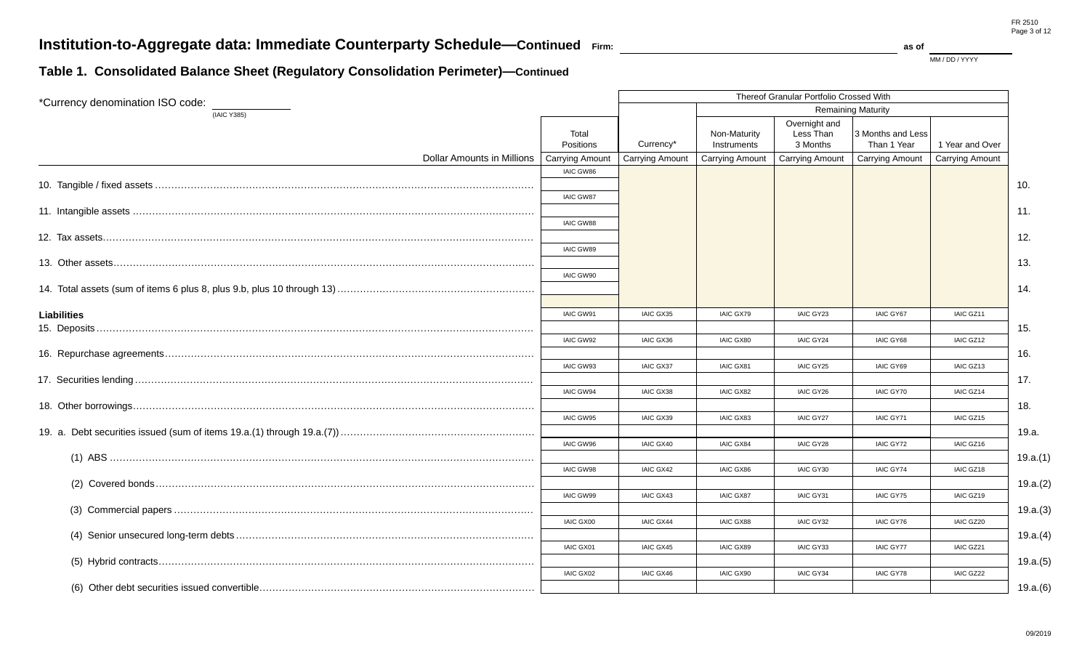MM / DD / YYYY

## **Table 1. Consolidated Balance Sheet (Regulatory Consolidation Perimeter)—Continued**

| *Currency denomination ISO code: |                               |                        |                             | Thereof Granular Portfolio Crossed With |                                  |                        |          |
|----------------------------------|-------------------------------|------------------------|-----------------------------|-----------------------------------------|----------------------------------|------------------------|----------|
| (IAIC Y385)                      |                               |                        |                             |                                         | <b>Remaining Maturity</b>        |                        |          |
|                                  | Total<br>Positions            | Currency*              | Non-Maturity<br>Instruments | Overnight and<br>Less Than<br>3 Months  | 3 Months and Less<br>Than 1 Year | 1 Year and Over        |          |
| Dollar Amounts in Millions       | Carrying Amount               | <b>Carrying Amount</b> | <b>Carrying Amount</b>      | <b>Carrying Amount</b>                  | <b>Carrying Amount</b>           | <b>Carrying Amount</b> |          |
|                                  | IAIC GW86<br><b>IAIC GW87</b> |                        |                             |                                         |                                  |                        | 10.      |
|                                  | <b>IAIC GW88</b>              |                        |                             |                                         |                                  |                        | 11.      |
|                                  |                               |                        |                             |                                         |                                  |                        | 12.      |
|                                  | IAIC GW89<br>IAIC GW90        |                        |                             |                                         |                                  |                        | 13.      |
|                                  |                               |                        |                             |                                         |                                  |                        | 14.      |
|                                  |                               |                        |                             |                                         |                                  |                        |          |
| <b>Liabilities</b>               | IAIC GW91                     | IAIC GX35              | IAIC GX79                   | IAIC GY23                               | <b>IAIC GY67</b>                 | IAIC GZ11              |          |
|                                  |                               |                        |                             |                                         |                                  |                        | 15.      |
|                                  | IAIC GW92                     | IAIC GX36              | IAIC GX80                   | IAIC GY24                               | IAIC GY68                        | IAIC GZ12              |          |
|                                  |                               |                        |                             |                                         |                                  |                        | 16.      |
|                                  | IAIC GW93                     | <b>IAIC GX37</b>       | IAIC GX81                   | IAIC GY25                               | IAIC GY69                        | IAIC GZ13              |          |
|                                  |                               |                        |                             |                                         |                                  |                        | 17.      |
|                                  | <b>IAIC GW94</b>              | IAIC GX38              | <b>IAIC GX82</b>            | IAIC GY26                               | <b>IAIC GY70</b>                 | IAIC GZ14              |          |
|                                  |                               |                        |                             |                                         |                                  |                        | 18.      |
|                                  | IAIC GW95                     | IAIC GX39              | <b>IAIC GX83</b>            | <b>IAIC GY27</b>                        | <b>IAIC GY71</b>                 | IAIC GZ15              |          |
|                                  |                               |                        |                             |                                         |                                  |                        | 19.a.    |
|                                  | IAIC GW96                     | IAIC GX40              | IAIC GX84                   | IAIC GY28                               | IAIC GY72                        | IAIC GZ16              |          |
|                                  |                               |                        |                             |                                         |                                  |                        | 19.a.(1) |
|                                  | IAIC GW98                     | IAIC GX42              | IAIC GX86                   | IAIC GY30                               | <b>IAIC GY74</b>                 | IAIC GZ18              |          |
|                                  |                               |                        |                             |                                         |                                  |                        | 19.a.(2) |
|                                  | <b>IAIC GW99</b>              | IAIC GX43              | <b>IAIC GX87</b>            | IAIC GY31                               | IAIC GY75                        | IAIC GZ19              |          |
|                                  |                               |                        |                             |                                         |                                  |                        | 19.a.(3) |
|                                  | <b>IAIC GX00</b>              | <b>IAIC GX44</b>       | <b>IAIC GX88</b>            | IAIC GY32                               | IAIC GY76                        | IAIC GZ20              |          |
|                                  |                               |                        |                             |                                         |                                  |                        | 19.a.(4) |
|                                  | IAIC GX01                     | IAIC GX45              | IAIC GX89                   | IAIC GY33                               | <b>IAIC GY77</b>                 | IAIC GZ21              |          |
|                                  |                               |                        |                             |                                         |                                  |                        | 19.a.(5) |
|                                  | <b>IAIC GX02</b>              | IAIC GX46              | IAIC GX90                   | IAIC GY34                               | IAIC GY78                        | IAIC GZ22              |          |
|                                  |                               |                        |                             |                                         |                                  |                        | 19.a.(6) |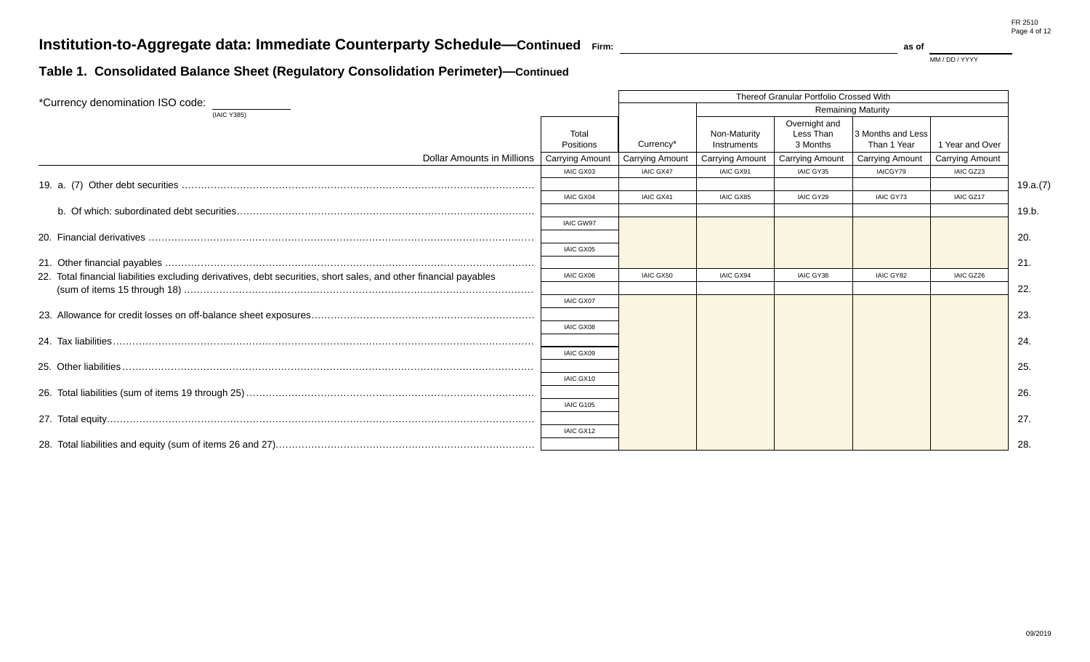MM / DD / YYYY

## **Table 1. Consolidated Balance Sheet (Regulatory Consolidation Perimeter)—Continued**

| *Currency denomination ISO code:                                                                                  |                        |                        |                             | Thereof Granular Portfolio Crossed With |                                  |                        |          |
|-------------------------------------------------------------------------------------------------------------------|------------------------|------------------------|-----------------------------|-----------------------------------------|----------------------------------|------------------------|----------|
| (IAIC Y385)                                                                                                       |                        |                        |                             |                                         | <b>Remaining Maturity</b>        |                        |          |
|                                                                                                                   | Total<br>Positions     | Currency*              | Non-Maturity<br>Instruments | Overnight and<br>Less Than<br>3 Months  | 3 Months and Less<br>Than 1 Year | 1 Year and Over        |          |
| Dollar Amounts in Millions                                                                                        | <b>Carrying Amount</b> | <b>Carrying Amount</b> | <b>Carrying Amount</b>      | <b>Carrying Amount</b>                  | <b>Carrying Amount</b>           | <b>Carrying Amount</b> |          |
|                                                                                                                   | IAIC GX03              | <b>IAIC GX47</b>       | IAIC GX91                   | IAIC GY35                               | IAICGY79                         | IAIC GZ23              |          |
|                                                                                                                   |                        |                        |                             |                                         |                                  |                        | 19.a.(7) |
|                                                                                                                   | <b>IAIC GX04</b>       | IAIC GX41              | <b>IAIC GX85</b>            | IAIC GY29                               | <b>IAIC GY73</b>                 | IAIC GZ17              |          |
|                                                                                                                   |                        |                        |                             |                                         |                                  |                        | 19.b.    |
|                                                                                                                   | <b>IAIC GW97</b>       |                        |                             |                                         |                                  |                        |          |
|                                                                                                                   |                        |                        |                             |                                         |                                  |                        | 20.      |
|                                                                                                                   | <b>IAIC GX05</b>       |                        |                             |                                         |                                  |                        |          |
|                                                                                                                   |                        |                        |                             |                                         |                                  |                        | 21.      |
| 22. Total financial liabilities excluding derivatives, debt securities, short sales, and other financial payables | <b>IAIC GX06</b>       | <b>IAIC GX50</b>       | <b>IAIC GX94</b>            | IAIC GY38                               | <b>IAIC GY82</b>                 | IAIC GZ26              |          |
|                                                                                                                   |                        |                        |                             |                                         |                                  |                        | 22.      |
|                                                                                                                   | <b>IAIC GX07</b>       |                        |                             |                                         |                                  |                        |          |
|                                                                                                                   |                        |                        |                             |                                         |                                  |                        | 23.      |
|                                                                                                                   | <b>IAIC GX08</b>       |                        |                             |                                         |                                  |                        |          |
|                                                                                                                   |                        |                        |                             |                                         |                                  |                        | 24.      |
|                                                                                                                   | <b>IAIC GX09</b>       |                        |                             |                                         |                                  |                        |          |
|                                                                                                                   |                        |                        |                             |                                         |                                  |                        | 25.      |
|                                                                                                                   | IAIC GX10              |                        |                             |                                         |                                  |                        |          |
|                                                                                                                   |                        |                        |                             |                                         |                                  |                        | 26.      |
|                                                                                                                   | <b>IAIC G105</b>       |                        |                             |                                         |                                  |                        |          |
|                                                                                                                   |                        |                        |                             |                                         |                                  |                        | 27.      |
|                                                                                                                   | IAIC GX12              |                        |                             |                                         |                                  |                        |          |
|                                                                                                                   |                        |                        |                             |                                         |                                  |                        | 28.      |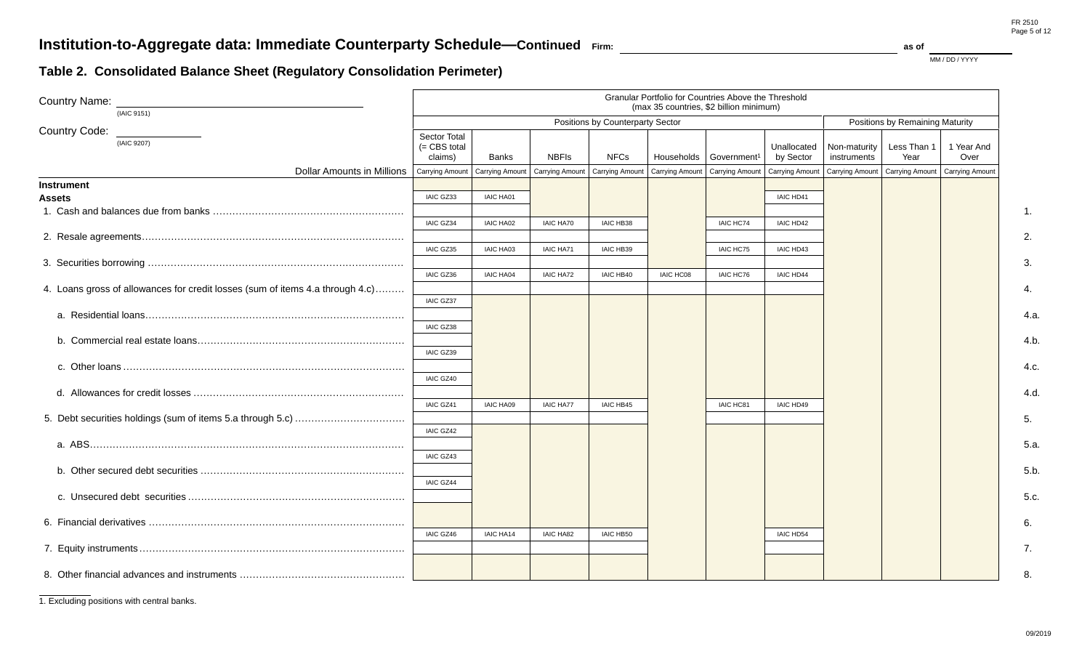$\mathbf{F}$  as of  $\mathbf{F}$  as of MM / DD / YYYY

## **Table 2. Consolidated Balance Sheet (Regulatory Consolidation Perimeter)**

| <b>Country Name:</b><br>(IAIC 9151)                                           | Granular Portfolio for Countries Above the Threshold<br>(max 35 countries, \$2 billion minimum) |                        |                  |                                                                       |           |                                      |                          |                             |                                                     |                    |
|-------------------------------------------------------------------------------|-------------------------------------------------------------------------------------------------|------------------------|------------------|-----------------------------------------------------------------------|-----------|--------------------------------------|--------------------------|-----------------------------|-----------------------------------------------------|--------------------|
|                                                                               |                                                                                                 |                        |                  | Positions by Counterparty Sector                                      |           |                                      |                          |                             | Positions by Remaining Maturity                     |                    |
| <b>Country Code:</b><br>(IAIC 9207)                                           | Sector Total<br>(= CBS total<br>claims)                                                         | <b>Banks</b>           | <b>NBFIs</b>     | <b>NFCs</b>                                                           |           | Households   Government <sup>1</sup> | Unallocated<br>by Sector | Non-maturity<br>instruments | Less Than 1<br>Year                                 | 1 Year And<br>Over |
| <b>Dollar Amounts in Millions</b>                                             | <b>Carrying Amount</b>                                                                          | <b>Carrying Amount</b> |                  | Carrying Amount   Carrying Amount   Carrying Amount   Carrying Amount |           |                                      | <b>Carrying Amount</b>   |                             | Carrying Amount   Carrying Amount   Carrying Amount |                    |
| <b>Instrument</b>                                                             |                                                                                                 |                        |                  |                                                                       |           |                                      |                          |                             |                                                     |                    |
| <b>Assets</b>                                                                 | IAIC GZ33                                                                                       | <b>IAIC HA01</b>       |                  |                                                                       |           |                                      | IAIC HD41                |                             |                                                     |                    |
|                                                                               |                                                                                                 |                        |                  |                                                                       |           |                                      |                          |                             |                                                     |                    |
|                                                                               | IAIC GZ34                                                                                       | <b>IAIC HA02</b>       | <b>IAIC HA70</b> | <b>IAIC HB38</b>                                                      |           | IAIC HC74                            | IAIC HD42                |                             |                                                     |                    |
|                                                                               |                                                                                                 |                        |                  |                                                                       |           |                                      |                          |                             |                                                     |                    |
|                                                                               | IAIC GZ35                                                                                       | <b>IAIC HA03</b>       | <b>IAIC HA71</b> | <b>IAIC HB39</b>                                                      |           | IAIC HC75                            | IAIC HD43                |                             |                                                     |                    |
|                                                                               |                                                                                                 |                        |                  |                                                                       |           |                                      |                          |                             |                                                     |                    |
|                                                                               | IAIC GZ36                                                                                       | <b>IAIC HA04</b>       | <b>IAIC HA72</b> | IAIC HB40                                                             | IAIC HC08 | IAIC HC76                            | IAIC HD44                |                             |                                                     |                    |
| 4. Loans gross of allowances for credit losses (sum of items 4.a through 4.c) |                                                                                                 |                        |                  |                                                                       |           |                                      |                          |                             |                                                     |                    |
|                                                                               | <b>IAIC GZ37</b>                                                                                |                        |                  |                                                                       |           |                                      |                          |                             |                                                     |                    |
|                                                                               |                                                                                                 |                        |                  |                                                                       |           |                                      |                          |                             |                                                     |                    |
|                                                                               | IAIC GZ38                                                                                       |                        |                  |                                                                       |           |                                      |                          |                             |                                                     |                    |
|                                                                               |                                                                                                 |                        |                  |                                                                       |           |                                      |                          |                             |                                                     |                    |
|                                                                               | IAIC GZ39                                                                                       |                        |                  |                                                                       |           |                                      |                          |                             |                                                     |                    |
|                                                                               |                                                                                                 |                        |                  |                                                                       |           |                                      |                          |                             |                                                     |                    |
|                                                                               | IAIC GZ40                                                                                       |                        |                  |                                                                       |           |                                      |                          |                             |                                                     |                    |
|                                                                               |                                                                                                 |                        |                  |                                                                       |           |                                      |                          |                             |                                                     |                    |
|                                                                               | IAIC GZ41                                                                                       | <b>IAIC HA09</b>       | <b>IAIC HA77</b> | <b>IAIC HB45</b>                                                      |           | IAIC HC81                            | IAIC HD49                |                             |                                                     |                    |
|                                                                               |                                                                                                 |                        |                  |                                                                       |           |                                      |                          |                             |                                                     |                    |
|                                                                               | IAIC GZ42                                                                                       |                        |                  |                                                                       |           |                                      |                          |                             |                                                     |                    |
|                                                                               |                                                                                                 |                        |                  |                                                                       |           |                                      |                          |                             |                                                     |                    |
|                                                                               | IAIC GZ43                                                                                       |                        |                  |                                                                       |           |                                      |                          |                             |                                                     |                    |
|                                                                               |                                                                                                 |                        |                  |                                                                       |           |                                      |                          |                             |                                                     |                    |
|                                                                               | IAIC GZ44                                                                                       |                        |                  |                                                                       |           |                                      |                          |                             |                                                     |                    |
|                                                                               |                                                                                                 |                        |                  |                                                                       |           |                                      |                          |                             |                                                     |                    |
|                                                                               |                                                                                                 |                        |                  |                                                                       |           |                                      |                          |                             |                                                     |                    |
|                                                                               |                                                                                                 |                        |                  |                                                                       |           |                                      |                          |                             |                                                     |                    |
|                                                                               | IAIC GZ46                                                                                       | IAIC HA14              | <b>IAIC HA82</b> | <b>IAIC HB50</b>                                                      |           |                                      | <b>IAIC HD54</b>         |                             |                                                     |                    |
|                                                                               |                                                                                                 |                        |                  |                                                                       |           |                                      |                          |                             |                                                     |                    |
|                                                                               |                                                                                                 |                        |                  |                                                                       |           |                                      |                          |                             |                                                     |                    |
|                                                                               |                                                                                                 |                        |                  |                                                                       |           |                                      |                          |                             |                                                     |                    |
|                                                                               |                                                                                                 |                        |                  |                                                                       |           |                                      |                          |                             |                                                     |                    |

1. Excluding positions with central banks.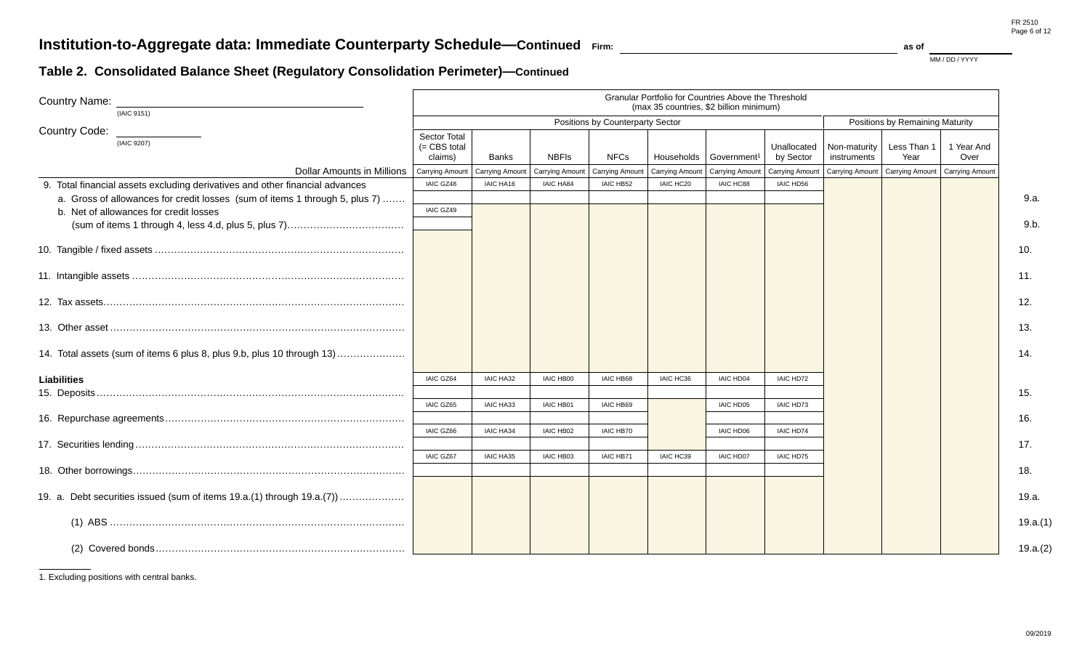## **Table 2. Consolidated Balance Sheet (Regulatory Consolidation Perimeter)—Continued**

| <b>Country Name:</b><br>(IAIC 9151)                                          | Granular Portfolio for Countries Above the Threshold<br>(max 35 countries, \$2 billion minimum) |                        |                  |                                  |                        |                         |                          |                                   |                                 |                    |  |
|------------------------------------------------------------------------------|-------------------------------------------------------------------------------------------------|------------------------|------------------|----------------------------------|------------------------|-------------------------|--------------------------|-----------------------------------|---------------------------------|--------------------|--|
|                                                                              |                                                                                                 |                        |                  | Positions by Counterparty Sector |                        |                         |                          |                                   | Positions by Remaining Maturity |                    |  |
| Country Code:<br>(IAIC 9207)                                                 | Sector Total<br>$(=$ CBS total<br>claims)                                                       | <b>Banks</b>           | <b>NBFIs</b>     | <b>NFCs</b>                      | Households             | Government <sup>1</sup> | Unallocated<br>by Sector | Non-maturity<br>instruments       | Less Than 1<br>Year             | 1 Year And<br>Over |  |
| <b>Dollar Amounts in Millions</b>                                            | Carrying Amount                                                                                 | <b>Carrying Amount</b> | Carrying Amount  | <b>Carrying Amount</b>           | <b>Carrying Amount</b> | Carrying Amount         | Carrying Amount          | Carrying Amount   Carrying Amount |                                 | Carrying Amount    |  |
| 9. Total financial assets excluding derivatives and other financial advances | IAIC GZ48                                                                                       | IAIC HA16              | <b>IAIC HA84</b> | IAIC HB52                        | IAIC HC20              | IAIC HC88               | IAIC HD56                |                                   |                                 |                    |  |
| a. Gross of allowances for credit losses (sum of items 1 through 5, plus 7)  |                                                                                                 |                        |                  |                                  |                        |                         |                          |                                   |                                 |                    |  |
| b. Net of allowances for credit losses                                       | IAIC GZ49                                                                                       |                        |                  |                                  |                        |                         |                          |                                   |                                 |                    |  |
|                                                                              |                                                                                                 |                        |                  |                                  |                        |                         |                          |                                   |                                 |                    |  |
|                                                                              |                                                                                                 |                        |                  |                                  |                        |                         |                          |                                   |                                 |                    |  |
|                                                                              |                                                                                                 |                        |                  |                                  |                        |                         |                          |                                   |                                 |                    |  |
|                                                                              |                                                                                                 |                        |                  |                                  |                        |                         |                          |                                   |                                 |                    |  |
|                                                                              |                                                                                                 |                        |                  |                                  |                        |                         |                          |                                   |                                 |                    |  |
| 14. Total assets (sum of items 6 plus 8, plus 9.b, plus 10 through 13)       |                                                                                                 |                        |                  |                                  |                        |                         |                          |                                   |                                 |                    |  |
| <b>Liabilities</b>                                                           | <b>IAIC GZ64</b>                                                                                | <b>IAIC HA32</b>       | <b>IAIC HB00</b> | <b>IAIC HB68</b>                 | IAIC HC36              | <b>IAIC HD04</b>        | IAIC HD72                |                                   |                                 |                    |  |
|                                                                              |                                                                                                 |                        |                  |                                  |                        |                         |                          |                                   |                                 |                    |  |
|                                                                              | <b>IAIC GZ65</b>                                                                                | <b>IAIC HA33</b>       | <b>IAIC HB01</b> | <b>IAIC HB69</b>                 |                        | <b>IAIC HD05</b>        | IAIC HD73                |                                   |                                 |                    |  |
|                                                                              |                                                                                                 |                        |                  |                                  |                        |                         |                          |                                   |                                 |                    |  |
|                                                                              | IAIC GZ66                                                                                       | <b>IAIC HA34</b>       | <b>IAIC HB02</b> | <b>IAIC HB70</b>                 |                        | <b>IAIC HD06</b>        | <b>IAIC HD74</b>         |                                   |                                 |                    |  |
|                                                                              |                                                                                                 |                        |                  |                                  |                        |                         |                          |                                   |                                 |                    |  |
|                                                                              | IAIC GZ67                                                                                       | <b>IAIC HA35</b>       | IAIC HB03        | IAIC HB71                        | IAIC HC39              | <b>IAIC HD07</b>        | IAIC HD75                |                                   |                                 |                    |  |
|                                                                              |                                                                                                 |                        |                  |                                  |                        |                         |                          |                                   |                                 |                    |  |
|                                                                              |                                                                                                 |                        |                  |                                  |                        |                         |                          |                                   |                                 |                    |  |
|                                                                              |                                                                                                 |                        |                  |                                  |                        |                         |                          |                                   |                                 |                    |  |
|                                                                              |                                                                                                 |                        |                  |                                  |                        |                         |                          |                                   |                                 |                    |  |

1. Excluding positions with central banks.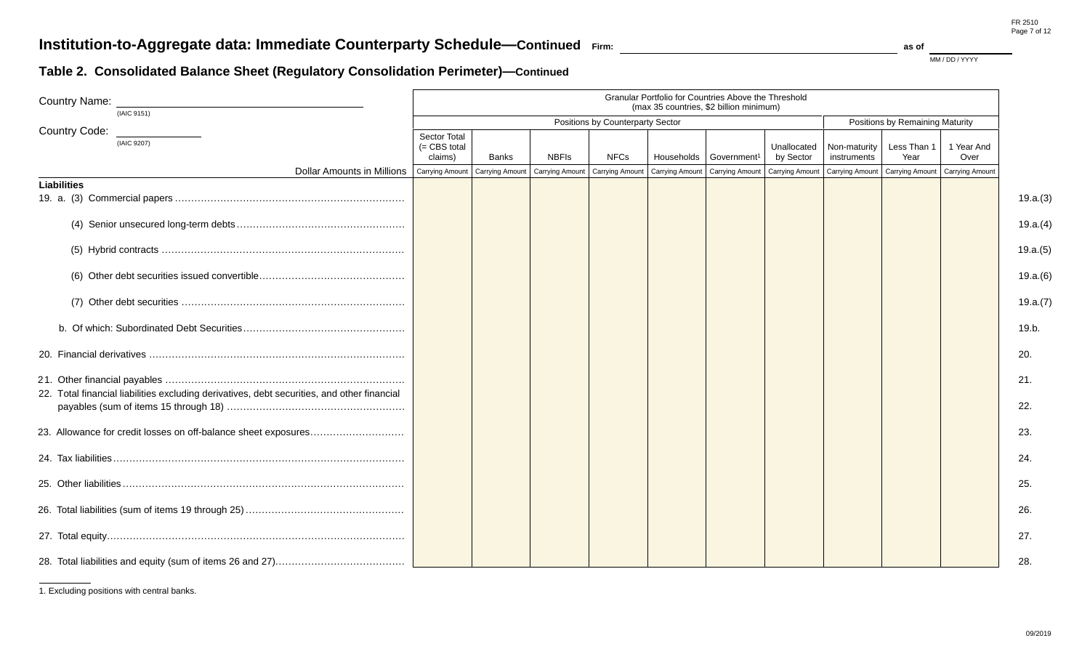## **Table 2. Consolidated Balance Sheet (Regulatory Consolidation Perimeter)—Continued**

| <b>Country Name:</b><br>(IAIC 9151)                                                                | Granular Portfolio for Countries Above the Threshold<br>(max 35 countries, \$2 billion minimum) |                                  |              |             |                 |                                   |                          |                             |                     |                                   |
|----------------------------------------------------------------------------------------------------|-------------------------------------------------------------------------------------------------|----------------------------------|--------------|-------------|-----------------|-----------------------------------|--------------------------|-----------------------------|---------------------|-----------------------------------|
|                                                                                                    |                                                                                                 | Positions by Counterparty Sector |              |             |                 |                                   |                          |                             |                     | Positions by Remaining Maturity   |
| Country Code:<br>(IAIC 9207)                                                                       | <b>Sector Total</b><br>(= CBS total<br>claims)                                                  | Banks                            | <b>NBFIs</b> | <b>NFCs</b> | Households      | Government <sup>1</sup>           | Unallocated<br>by Sector | Non-maturity<br>instruments | Less Than 1<br>Year | 1 Year And<br>Over                |
| Dollar Amounts in Millions   Carrying Amount   Carrying Amount   Carrying Amount   Carrying Amount |                                                                                                 |                                  |              |             | Carrying Amount | Carrying Amount   Carrying Amount |                          | Carrying Amount             |                     | Carrying Amount   Carrying Amount |
| <b>Liabilities</b>                                                                                 |                                                                                                 |                                  |              |             |                 |                                   |                          |                             |                     |                                   |
|                                                                                                    |                                                                                                 |                                  |              |             |                 |                                   |                          |                             |                     |                                   |
|                                                                                                    |                                                                                                 |                                  |              |             |                 |                                   |                          |                             |                     |                                   |
|                                                                                                    |                                                                                                 |                                  |              |             |                 |                                   |                          |                             |                     |                                   |
|                                                                                                    |                                                                                                 |                                  |              |             |                 |                                   |                          |                             |                     |                                   |
|                                                                                                    |                                                                                                 |                                  |              |             |                 |                                   |                          |                             |                     |                                   |
|                                                                                                    |                                                                                                 |                                  |              |             |                 |                                   |                          |                             |                     |                                   |
| 22. Total financial liabilities excluding derivatives, debt securities, and other financial        |                                                                                                 |                                  |              |             |                 |                                   |                          |                             |                     |                                   |
|                                                                                                    |                                                                                                 |                                  |              |             |                 |                                   |                          |                             |                     |                                   |
| 23. Allowance for credit losses on off-balance sheet exposures                                     |                                                                                                 |                                  |              |             |                 |                                   |                          |                             |                     |                                   |
|                                                                                                    |                                                                                                 |                                  |              |             |                 |                                   |                          |                             |                     |                                   |
|                                                                                                    |                                                                                                 |                                  |              |             |                 |                                   |                          |                             |                     |                                   |
|                                                                                                    |                                                                                                 |                                  |              |             |                 |                                   |                          |                             |                     |                                   |
|                                                                                                    |                                                                                                 |                                  |              |             |                 |                                   |                          |                             |                     |                                   |
|                                                                                                    |                                                                                                 |                                  |              |             |                 |                                   |                          |                             |                     |                                   |

<sup>1.</sup> Excluding positions with central banks.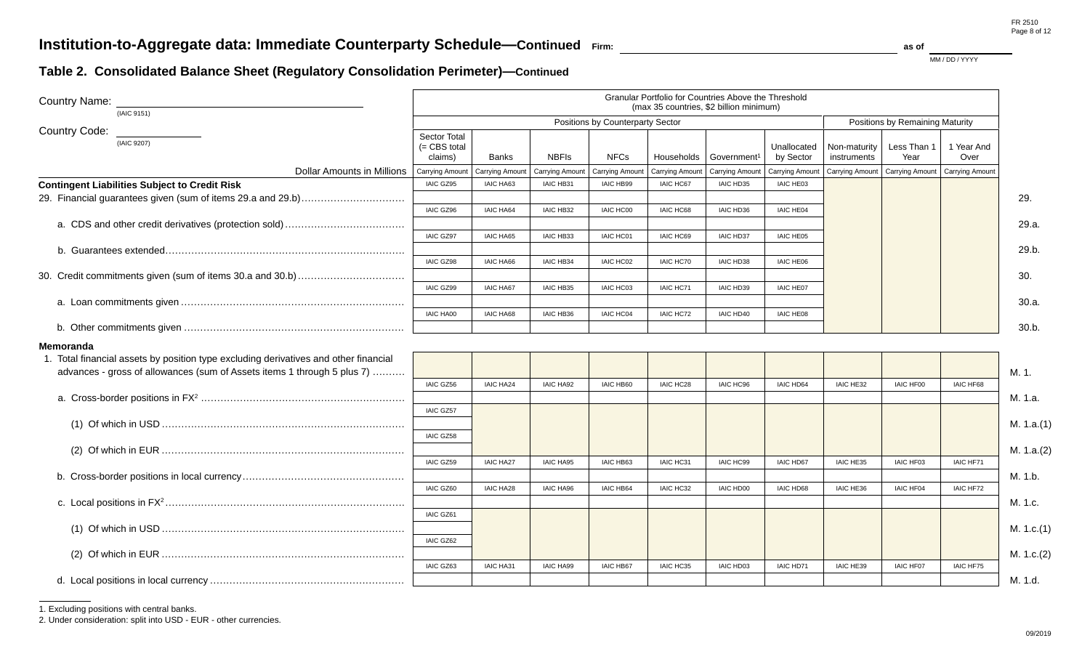MM / DD / YYYY

### **Table 2. Consolidated Balance Sheet (Regulatory Consolidation Perimeter)—Continued**

| <b>Country Name:</b><br>(IAIC 9151)                                                                                                                                          |                                               |                                  |                  |                        |                        | Granular Portfolio for Countries Above the Threshold<br>(max 35 countries, \$2 billion minimum) |                          |                             |                                 |                    |            |
|------------------------------------------------------------------------------------------------------------------------------------------------------------------------------|-----------------------------------------------|----------------------------------|------------------|------------------------|------------------------|-------------------------------------------------------------------------------------------------|--------------------------|-----------------------------|---------------------------------|--------------------|------------|
|                                                                                                                                                                              |                                               | Positions by Counterparty Sector |                  |                        |                        |                                                                                                 |                          |                             | Positions by Remaining Maturity |                    |            |
| <b>Country Code:</b><br>(IAIC 9207)                                                                                                                                          | <b>Sector Total</b><br>= CBS total<br>claims) | Banks                            | <b>NBFIs</b>     | <b>NFCs</b>            | Households             | Government <sup>1</sup>                                                                         | Unallocated<br>by Sector | Non-maturity<br>instruments | Less Than 1<br>Year             | 1 Year And<br>Over |            |
| <b>Dollar Amounts in Millions</b>                                                                                                                                            | <b>Carrying Amount</b>                        | Carrying Amount                  | Carrying Amoun   | <b>Carrying Amount</b> | <b>Carrying Amount</b> | Carrying Amount                                                                                 | <b>Carrying Amount</b>   | Carrying Amount             | Carrying Amount                 | Carrying Amount    |            |
| <b>Contingent Liabilities Subject to Credit Risk</b>                                                                                                                         | <b>IAIC GZ95</b>                              | IAIC HA63                        | IAIC HB31        | <b>IAIC HB99</b>       | <b>IAIC HC67</b>       | IAIC HD35                                                                                       | IAIC HE03                |                             |                                 |                    |            |
|                                                                                                                                                                              | IAIC GZ96                                     | <b>IAIC HA64</b>                 | IAIC HB32        | <b>IAIC HC00</b>       | IAIC HC68              | IAIC HD36                                                                                       | <b>IAIC HE04</b>         |                             |                                 |                    | 29.        |
|                                                                                                                                                                              | IAIC GZ97                                     | <b>IAIC HA65</b>                 | IAIC HB33        | <b>IAIC HC01</b>       | <b>IAIC HC69</b>       | <b>IAIC HD37</b>                                                                                | <b>IAIC HE05</b>         |                             |                                 |                    | 29.a.      |
|                                                                                                                                                                              |                                               |                                  |                  |                        |                        |                                                                                                 |                          |                             |                                 |                    | 29.b.      |
|                                                                                                                                                                              | IAIC GZ98                                     | <b>IAIC HA66</b>                 | <b>IAIC HB34</b> | IAIC HC02              | IAIC HC70              | <b>IAIC HD38</b>                                                                                | <b>IAIC HE06</b>         |                             |                                 |                    | 30.        |
|                                                                                                                                                                              | IAIC GZ99                                     | <b>IAIC HA67</b>                 | IAIC HB35        | IAIC HC03              | IAIC HC71              | IAIC HD39                                                                                       | <b>IAIC HE07</b>         |                             |                                 |                    | 30.a.      |
|                                                                                                                                                                              | <b>IAIC HA00</b>                              | <b>IAIC HA68</b>                 | IAIC HB36        | IAIC HC04              | <b>IAIC HC72</b>       | IAIC HD40                                                                                       | IAIC HE08                |                             |                                 |                    |            |
|                                                                                                                                                                              |                                               |                                  |                  |                        |                        |                                                                                                 |                          |                             |                                 |                    | 30.b.      |
| Memoranda<br>1. Total financial assets by position type excluding derivatives and other financial<br>advances - gross of allowances (sum of Assets items 1 through 5 plus 7) |                                               |                                  |                  |                        |                        |                                                                                                 |                          |                             |                                 |                    | M. 1.      |
|                                                                                                                                                                              | IAIC GZ56                                     | <b>IAIC HA24</b>                 | <b>IAIC HA92</b> | <b>IAIC HB60</b>       | IAIC HC28              | IAIC HC96                                                                                       | IAIC HD64                | IAIC HE32                   | IAIC HF00                       | IAIC HF68          |            |
|                                                                                                                                                                              |                                               |                                  |                  |                        |                        |                                                                                                 |                          |                             |                                 |                    | M. 1.a.    |
|                                                                                                                                                                              | <b>IAIC GZ57</b>                              |                                  |                  |                        |                        |                                                                                                 |                          |                             |                                 |                    | M. 1.a.(1) |
|                                                                                                                                                                              | IAIC GZ58                                     |                                  |                  |                        |                        |                                                                                                 |                          |                             |                                 |                    | M. 1.a.(2) |
|                                                                                                                                                                              | IAIC GZ59                                     | <b>IAIC HA27</b>                 | <b>IAIC HA95</b> | <b>IAIC HB63</b>       | IAIC HC31              | <b>IAIC HC99</b>                                                                                | <b>IAIC HD67</b>         | IAIC HE35                   | <b>IAIC HF03</b>                | IAIC HF71          |            |
|                                                                                                                                                                              |                                               |                                  |                  |                        |                        |                                                                                                 |                          |                             |                                 |                    | M. 1.b.    |
|                                                                                                                                                                              | IAIC GZ60                                     | <b>IAIC HA28</b>                 | IAIC HA96        | <b>IAIC HB64</b>       | IAIC HC32              | <b>IAIC HD00</b>                                                                                | <b>IAIC HD68</b>         | IAIC HE36                   | IAIC HF04                       | IAIC HF72          | M. 1.c.    |
|                                                                                                                                                                              | IAIC GZ61                                     |                                  |                  |                        |                        |                                                                                                 |                          |                             |                                 |                    |            |
|                                                                                                                                                                              | IAIC GZ62                                     |                                  |                  |                        |                        |                                                                                                 |                          |                             |                                 |                    | M. 1.c.(1) |
|                                                                                                                                                                              |                                               |                                  |                  |                        |                        |                                                                                                 |                          |                             |                                 |                    | M. 1.c.(2) |
|                                                                                                                                                                              | IAIC GZ63                                     | <b>IAIC HA31</b>                 | <b>IAIC HA99</b> | <b>IAIC HB67</b>       | <b>IAIC HC35</b>       | <b>IAIC HD03</b>                                                                                | IAIC HD71                | IAIC HE39                   | <b>IAIC HF07</b>                | <b>IAIC HF75</b>   |            |
|                                                                                                                                                                              |                                               |                                  |                  |                        |                        |                                                                                                 |                          |                             |                                 |                    | M. 1.d.    |

1. Excluding positions with central banks.

2. Under consideration: split into USD - EUR - other currencies.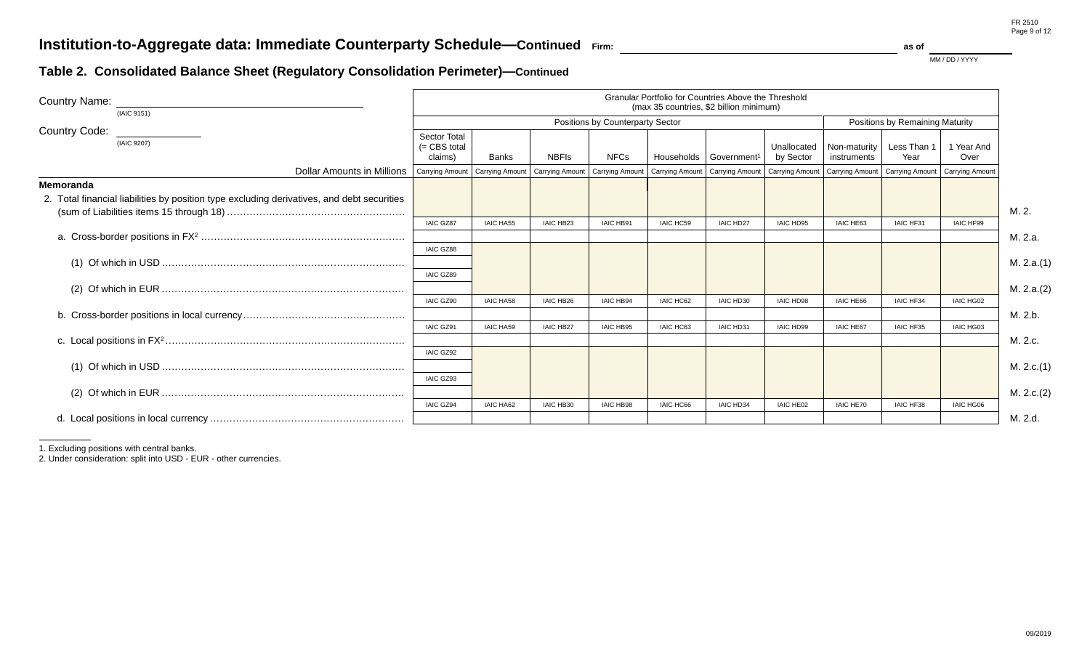## **Table 2. Consolidated Balance Sheet (Regulatory Consolidation Perimeter)—Continued**

| <b>Country Name:</b><br>(IAIC 9151)                                                        |                                                  |                  |                                   |                                  | <b>Granular Portfolio for Countries Above the Threshold</b><br>(max 35 countries, \$2 billion minimum) |                                      |                          |                             |                                                                                                           |                    |            |
|--------------------------------------------------------------------------------------------|--------------------------------------------------|------------------|-----------------------------------|----------------------------------|--------------------------------------------------------------------------------------------------------|--------------------------------------|--------------------------|-----------------------------|-----------------------------------------------------------------------------------------------------------|--------------------|------------|
|                                                                                            |                                                  |                  |                                   | Positions by Counterparty Sector |                                                                                                        |                                      |                          |                             | Positions by Remaining Maturity                                                                           |                    |            |
| <b>Country Code:</b><br>(IAIC 9207)                                                        | <b>Sector Total</b><br>$(=$ CBS total<br>claims) | <b>Banks</b>     | <b>NBFIs</b>                      | <b>NFCs</b>                      |                                                                                                        | Households   Government <sup>1</sup> | Unallocated<br>by Sector | Non-maturity<br>instruments | Less Than 1<br>Year                                                                                       | 1 Year And<br>Over |            |
| Dollar Amounts in Millions   Carrying Amount   Carrying Amount                             |                                                  |                  | Carrying Amount   Carrying Amount |                                  |                                                                                                        |                                      |                          |                             | Carrying Amount   Carrying Amount   Carrying Amount   Carrying Amount   Carrying Amount   Carrying Amount |                    |            |
| Memoranda                                                                                  |                                                  |                  |                                   |                                  |                                                                                                        |                                      |                          |                             |                                                                                                           |                    |            |
| 2. Total financial liabilities by position type excluding derivatives, and debt securities |                                                  |                  |                                   |                                  |                                                                                                        |                                      |                          |                             |                                                                                                           |                    | M. 2.      |
|                                                                                            | <b>IAIC GZ87</b>                                 | <b>IAIC HA55</b> | <b>IAIC HB23</b>                  | <b>IAIC HB91</b>                 | <b>IAIC HC59</b>                                                                                       | <b>IAIC HD27</b>                     | IAIC HD95                | IAIC HE63                   | IAIC HF31                                                                                                 | IAIC HF99          |            |
|                                                                                            |                                                  |                  |                                   |                                  |                                                                                                        |                                      |                          |                             |                                                                                                           |                    | M. 2.a.    |
|                                                                                            | <b>IAIC GZ88</b>                                 |                  |                                   |                                  |                                                                                                        |                                      |                          |                             |                                                                                                           |                    |            |
|                                                                                            |                                                  |                  |                                   |                                  |                                                                                                        |                                      |                          |                             |                                                                                                           |                    | M. 2.a.(1) |
|                                                                                            | IAIC GZ89                                        |                  |                                   |                                  |                                                                                                        |                                      |                          |                             |                                                                                                           |                    | M. 2.a.(2) |
|                                                                                            | <b>IAIC GZ90</b>                                 | <b>IAIC HA58</b> | IAIC HB26                         | <b>IAIC HB94</b>                 | IAIC HC62                                                                                              | IAIC HD30                            | <b>IAIC HD98</b>         | IAIC HE66                   | IAIC HF34                                                                                                 | IAIC HG02          |            |
|                                                                                            |                                                  |                  |                                   |                                  |                                                                                                        |                                      |                          |                             |                                                                                                           |                    | M. 2.b.    |
|                                                                                            | <b>IAIC GZ91</b>                                 | <b>IAIC HA59</b> | <b>IAIC HB27</b>                  | <b>IAIC HB95</b>                 | <b>IAIC HC63</b>                                                                                       | IAIC HD31                            | <b>IAIC HD99</b>         | <b>IAIC HE67</b>            | IAIC HF35                                                                                                 | IAIC HG03          |            |
|                                                                                            |                                                  |                  |                                   |                                  |                                                                                                        |                                      |                          |                             |                                                                                                           |                    | M. 2.c.    |
|                                                                                            | <b>IAIC GZ92</b>                                 |                  |                                   |                                  |                                                                                                        |                                      |                          |                             |                                                                                                           |                    |            |
|                                                                                            |                                                  |                  |                                   |                                  |                                                                                                        |                                      |                          |                             |                                                                                                           |                    | M. 2.c.(1) |
|                                                                                            | IAIC GZ93                                        |                  |                                   |                                  |                                                                                                        |                                      |                          |                             |                                                                                                           |                    |            |
|                                                                                            |                                                  |                  |                                   |                                  |                                                                                                        |                                      |                          |                             |                                                                                                           |                    | M. 2.c.(2) |
|                                                                                            | <b>IAIC GZ94</b>                                 | <b>IAIC HA62</b> | <b>IAIC HB30</b>                  | <b>IAIC HB98</b>                 | IAIC HC66                                                                                              | <b>IAIC HD34</b>                     | <b>IAIC HE02</b>         | IAIC HE70                   | IAIC HF38                                                                                                 | <b>IAIC HG06</b>   | M. 2.d.    |
|                                                                                            |                                                  |                  |                                   |                                  |                                                                                                        |                                      |                          |                             |                                                                                                           |                    |            |

1. Excluding positions with central banks.

2. Under consideration: split into USD - EUR - other currencies.

FR 2510 Page 9 of 12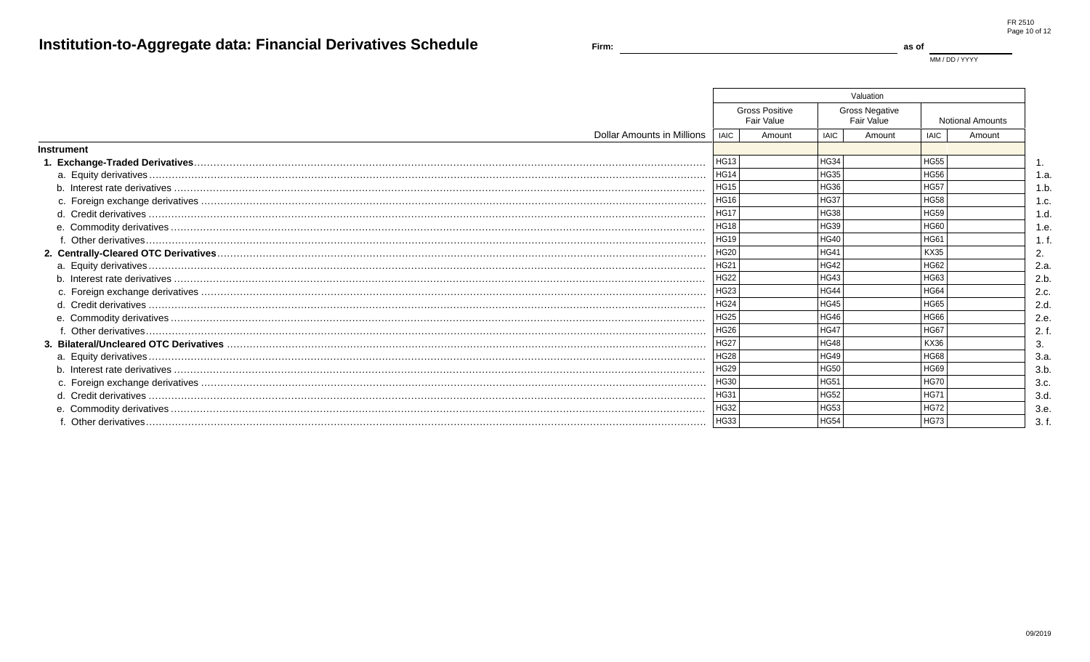MM / DD / YYYY

as of

|                            |             |                                     |                  | Valuation                           |             |                         |      |
|----------------------------|-------------|-------------------------------------|------------------|-------------------------------------|-------------|-------------------------|------|
|                            |             | <b>Gross Positive</b><br>Fair Value |                  | <b>Gross Negative</b><br>Fair Value |             | <b>Notional Amounts</b> |      |
| Dollar Amounts in Millions | <b>IAIC</b> | Amount                              | <b>IAIC</b>      | Amount                              | <b>IAIC</b> | Amount                  |      |
| <b>Instrument</b>          |             |                                     |                  |                                     |             |                         |      |
|                            | HG13        |                                     | HG34             |                                     | <b>HG55</b> |                         |      |
|                            | <b>HG14</b> |                                     | HG35             |                                     | <b>HG56</b> |                         | 1.a  |
|                            | <b>HG15</b> |                                     | HG36             |                                     | <b>HG57</b> |                         | 1.b  |
|                            | <b>HG16</b> |                                     | HG37             |                                     | <b>HG58</b> |                         | 1.c  |
|                            | <b>HG17</b> |                                     | HG38             |                                     | <b>HG59</b> |                         | 1.d  |
|                            | <b>HG18</b> |                                     | HG39             |                                     | <b>HG60</b> |                         | 1.e  |
|                            | <b>HG19</b> |                                     | HG40             |                                     | <b>HG61</b> |                         |      |
|                            | <b>HG20</b> |                                     | HG41             |                                     | <b>KX35</b> |                         | 2.   |
|                            | HG21        |                                     | HG42             |                                     | <b>HG62</b> |                         | 2.a  |
|                            | <b>HG22</b> |                                     | HG43             |                                     | HG63        |                         | 2.b  |
|                            | HG23        |                                     | HG44             |                                     | <b>HG64</b> |                         | 2.c  |
|                            | <b>HG24</b> |                                     | HG45             |                                     | <b>HG65</b> |                         | 2.d  |
|                            | <b>HG25</b> |                                     | HG46             |                                     | <b>HG66</b> |                         | 2.e  |
|                            | <b>HG26</b> |                                     | HG47             |                                     | <b>HG67</b> |                         | 2. f |
|                            | <b>HG27</b> |                                     | HG48             |                                     | <b>KX36</b> |                         |      |
|                            | <b>HG28</b> |                                     | HG49             |                                     | <b>HG68</b> |                         | 3.a  |
|                            | <b>HG29</b> |                                     | <b>HG50</b>      |                                     | <b>HG69</b> |                         | 3.b  |
|                            | HG30        |                                     | HG <sub>51</sub> |                                     | <b>HG70</b> |                         | 3.c  |
|                            | HG31        |                                     | HG52             |                                     | <b>HG71</b> |                         | 3.d  |
|                            | <b>HG32</b> |                                     | HG53             |                                     | <b>HG72</b> |                         | 3.e  |
|                            | HG33        |                                     | HG54             |                                     | <b>HG73</b> |                         | 3.f  |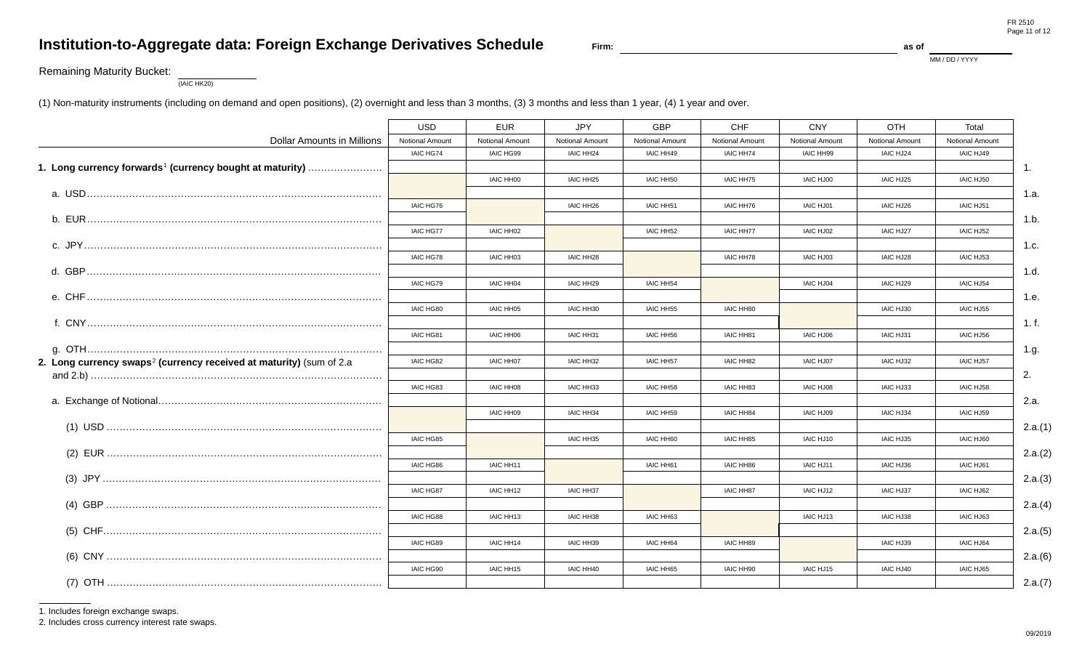## Institution-to-Aggregate data: Foreign Exchange Derivatives Schedule

Firm:

as of

MM / DD / YYYY

### **Remaining Maturity Bucket:**

 $(IAIC HK20)$ 

(1) Non-maturity instruments (including on demand and open positions), (2) overnight and less than 3 months, (3) 3 months and less than 1 year, (4) 1 year and over.

|                                                                                 | <b>USD</b>       | <b>EUR</b>       | <b>JPY</b>             | <b>GBP</b>       | CHF                    | <b>CNY</b>       | OTH                    | Total                  |                |
|---------------------------------------------------------------------------------|------------------|------------------|------------------------|------------------|------------------------|------------------|------------------------|------------------------|----------------|
|                                                                                 |                  |                  |                        |                  |                        |                  |                        |                        |                |
| <b>Dollar Amounts in Millions</b>                                               | Notional Amount  | Notional Amount  | <b>Notional Amount</b> | Notional Amoun   | <b>Notional Amount</b> | Notional Amount  | <b>Notional Amount</b> | <b>Notional Amount</b> |                |
|                                                                                 | IAIC HG74        | IAIC HG99        | IAIC HH24              | IAIC HH49        | IAIC HH74              | <b>IAIC HH99</b> | IAIC HJ24              | IAIC HJ49              |                |
| 1. Long currency forwards <sup>1</sup> (currency bought at maturity)            |                  |                  |                        |                  |                        |                  |                        |                        | $\mathbf{1}$ . |
|                                                                                 |                  | IAIC HH00        | IAIC HH25              | IAIC HH50        | IAIC HH75              | <b>IAIC HJ00</b> | IAIC HJ25              | IAIC HJ50              |                |
|                                                                                 |                  |                  |                        |                  |                        |                  |                        |                        | 1.a.           |
|                                                                                 | IAIC HG76        |                  | IAIC HH26              | IAIC HH51        | IAIC HH76              | IAIC HJ01        | IAIC HJ26              | IAIC HJ51              |                |
|                                                                                 |                  |                  |                        |                  |                        |                  |                        |                        | 1.b.           |
|                                                                                 | <b>IAIC HG77</b> | IAIC HH02        |                        | IAIC HH52        | IAIC HH77              | <b>IAIC HJ02</b> | IAIC HJ27              | IAIC HJ52              |                |
|                                                                                 |                  |                  |                        |                  |                        |                  |                        |                        | 1.c.           |
|                                                                                 | IAIC HG78        | IAIC HH03        | IAIC HH28              |                  | IAIC HH78              | IAIC HJ03        | IAIC HJ28              | IAIC HJ53              |                |
|                                                                                 |                  |                  |                        |                  |                        |                  |                        |                        | 1.d.           |
|                                                                                 | IAIC HG79        | IAIC HH04        | IAIC HH29              | IAIC HH54        |                        | IAIC HJ04        | IAIC HJ29              | IAIC HJ54              |                |
|                                                                                 |                  |                  |                        |                  |                        |                  |                        |                        | 1.e.           |
|                                                                                 | IAIC HG80        | IAIC HH05        | IAIC HH30              | IAIC HH55        | IAIC HH80              |                  | IAIC HJ30              | IAIC HJ55              |                |
|                                                                                 |                  |                  |                        |                  |                        |                  |                        |                        | 1. f.          |
|                                                                                 | IAIC HG81        | <b>IAIC HH06</b> | IAIC HH31              | <b>IAIC HH56</b> | IAIC HH81              | <b>IAIC HJ06</b> | IAIC HJ31              | IAIC HJ56              |                |
|                                                                                 |                  |                  |                        |                  |                        |                  |                        |                        |                |
|                                                                                 | IAIC HG82        | <b>IAIC HH07</b> | IAIC HH32              | IAIC HH57        | IAIC HH82              | <b>IAIC HJ07</b> | IAIC HJ32              | IAIC HJ57              | 1.g.           |
| 2. Long currency swaps <sup>2</sup> (currency received at maturity) (sum of 2.a |                  |                  |                        |                  |                        |                  |                        |                        |                |
|                                                                                 |                  |                  |                        |                  |                        |                  |                        |                        | 2.             |
|                                                                                 | IAIC HG83        | <b>IAIC HH08</b> | IAIC HH33              | IAIC HH58        | <b>IAIC HH83</b>       | <b>IAIC HJ08</b> | IAIC HJ33              | IAIC HJ58              |                |
|                                                                                 |                  |                  |                        |                  |                        |                  |                        |                        | 2.a.           |
|                                                                                 |                  | <b>IAIC HH09</b> | IAIC HH34              | IAIC HH59        | <b>IAIC HH84</b>       | <b>IAIC HJ09</b> | <b>IAIC HJ34</b>       | IAIC HJ59              |                |
|                                                                                 |                  |                  |                        |                  |                        |                  |                        |                        | 2.a.(1)        |
|                                                                                 | IAIC HG85        |                  | IAIC HH35              | IAIC HH60        | IAIC HH85              | IAIC HJ10        | <b>IAIC HJ35</b>       | <b>IAIC HJ60</b>       |                |
|                                                                                 |                  |                  |                        |                  |                        |                  |                        |                        | 2.a.(2)        |
|                                                                                 | IAIC HG86        | IAIC HH11        |                        | IAIC HH61        | <b>IAIC HH86</b>       | IAIC HJ11        | IAIC HJ36              | IAIC HJ61              |                |
|                                                                                 |                  |                  |                        |                  |                        |                  |                        |                        | 2.a.(3)        |
|                                                                                 | IAIC HG87        | IAIC HH12        | IAIC HH37              |                  | IAIC HH87              | IAIC HJ12        | IAIC HJ37              | IAIC HJ62              |                |
|                                                                                 |                  |                  |                        |                  |                        |                  |                        |                        | 2.a.(4)        |
|                                                                                 | IAIC HG88        | IAIC HH13        | IAIC HH38              | <b>IAIC HH63</b> |                        | IAIC HJ13        | IAIC HJ38              | IAIC HJ63              |                |
|                                                                                 |                  |                  |                        |                  |                        |                  |                        |                        | 2.a.(5)        |
|                                                                                 | IAIC HG89        | IAIC HH14        | IAIC HH39              | IAIC HH64        | <b>IAIC HH89</b>       |                  | IAIC HJ39              | IAIC HJ64              |                |
|                                                                                 |                  |                  |                        |                  |                        |                  |                        |                        | 2.a.(6)        |
|                                                                                 | IAIC HG90        | IAIC HH15        | IAIC HH40              | IAIC HH65        | IAIC HH90              | IAIC HJ15        | IAIC HJ40              | IAIC HJ65              |                |
|                                                                                 |                  |                  |                        |                  |                        |                  |                        |                        |                |
|                                                                                 |                  |                  |                        |                  |                        |                  |                        |                        | 2.a.(7)        |

1. Includes foreign exchange swaps.

2. Includes cross currency interest rate swaps.